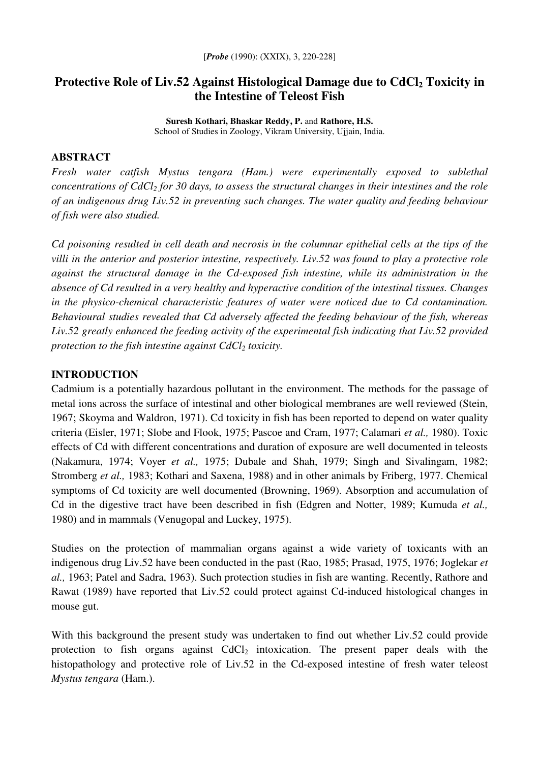# **Protective Role of Liv.52 Against Histological Damage due to CdCl<sup>2</sup> Toxicity in the Intestine of Teleost Fish**

**Suresh Kothari, Bhaskar Reddy, P.** and **Rathore, H.S.** School of Studies in Zoology, Vikram University, Ujjain, India.

#### **ABSTRACT**

*Fresh water catfish Mystus tengara (Ham.) were experimentally exposed to sublethal* concentrations of CdCl<sub>2</sub> for 30 days, to assess the structural changes in their intestines and the role *of an indigenous drug Liv.52 in preventing such changes. The water quality and feeding behaviour of fish were also studied.*

Cd poisoning resulted in cell death and necrosis in the columnar epithelial cells at the tips of the *villi in the anterior and posterior intestine, respectively. Liv.52 was found to play a protective role against the structural damage in the Cd-exposed fish intestine, while its administration in the absence of Cd resulted in a very healthy and hyperactive condition of the intestinal tissues. Changes in the physico-chemical characteristic features of water were noticed due to Cd contamination. Behavioural studies revealed that Cd adversely affected the feeding behaviour of the fish, whereas Liv.52 greatly enhanced the feeding activity of the experimental fish indicating that Liv.52 provided protection to the fish intestine against CdCl<sup>2</sup> toxicity.*

### **INTRODUCTION**

Cadmium is a potentially hazardous pollutant in the environment. The methods for the passage of metal ions across the surface of intestinal and other biological membranes are well reviewed (Stein, 1967; Skoyma and Waldron, 1971). Cd toxicity in fish has been reported to depend on water quality criteria (Eisler, 1971; Slobe and Flook, 1975; Pascoe and Cram, 1977; Calamari *et al.,* 1980). Toxic effects of Cd with different concentrations and duration of exposure are well documented in teleosts (Nakamura, 1974; Voyer *et al.,* 1975; Dubale and Shah, 1979; Singh and Sivalingam, 1982; Stromberg *et al.,* 1983; Kothari and Saxena, 1988) and in other animals by Friberg, 1977. Chemical symptoms of Cd toxicity are well documented (Browning, 1969). Absorption and accumulation of Cd in the digestive tract have been described in fish (Edgren and Notter, 1989; Kumuda *et al.,* 1980) and in mammals (Venugopal and Luckey, 1975).

Studies on the protection of mammalian organs against a wide variety of toxicants with an indigenous drug Liv.52 have been conducted in the past (Rao, 1985; Prasad, 1975, 1976; Joglekar *et al.,* 1963; Patel and Sadra, 1963). Such protection studies in fish are wanting. Recently, Rathore and Rawat (1989) have reported that Liv.52 could protect against Cd-induced histological changes in mouse gut.

With this background the present study was undertaken to find out whether Liv.52 could provide protection to fish organs against CdCl<sub>2</sub> intoxication. The present paper deals with the histopathology and protective role of Liv.52 in the Cd-exposed intestine of fresh water teleost *Mystus tengara* (Ham.).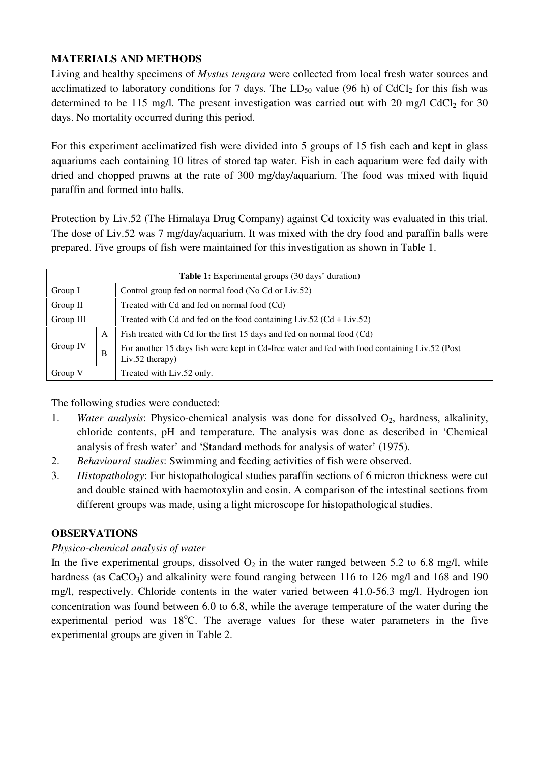# **MATERIALS AND METHODS**

Living and healthy specimens of *Mystus tengara* were collected from local fresh water sources and acclimatized to laboratory conditions for 7 days. The  $LD_{50}$  value (96 h) of CdCl<sub>2</sub> for this fish was determined to be 115 mg/l. The present investigation was carried out with 20 mg/l CdCl<sub>2</sub> for 30 days. No mortality occurred during this period.

For this experiment acclimatized fish were divided into 5 groups of 15 fish each and kept in glass aquariums each containing 10 litres of stored tap water. Fish in each aquarium were fed daily with dried and chopped prawns at the rate of 300 mg/day/aquarium. The food was mixed with liquid paraffin and formed into balls.

Protection by Liv.52 (The Himalaya Drug Company) against Cd toxicity was evaluated in this trial. The dose of Liv.52 was 7 mg/day/aquarium. It was mixed with the dry food and paraffin balls were prepared. Five groups of fish were maintained for this investigation as shown in Table 1.

| <b>Table 1:</b> Experimental groups (30 days' duration) |   |                                                                                                                    |  |  |  |  |  |  |
|---------------------------------------------------------|---|--------------------------------------------------------------------------------------------------------------------|--|--|--|--|--|--|
| Group I                                                 |   | Control group fed on normal food (No Cd or Liv.52)                                                                 |  |  |  |  |  |  |
| Group II                                                |   | Treated with Cd and fed on normal food (Cd)                                                                        |  |  |  |  |  |  |
| Group III                                               |   | Treated with Cd and fed on the food containing $Liv.52$ (Cd + $Liv.52$ )                                           |  |  |  |  |  |  |
| Group IV                                                | A | Fish treated with Cd for the first 15 days and fed on normal food (Cd)                                             |  |  |  |  |  |  |
|                                                         | B | For another 15 days fish were kept in Cd-free water and fed with food containing Liv.52 (Post<br>$Liv.52$ therapy) |  |  |  |  |  |  |
| Group V                                                 |   | Treated with Liv.52 only.                                                                                          |  |  |  |  |  |  |

The following studies were conducted:

- 1. *Water analysis*: Physico-chemical analysis was done for dissolved O<sub>2</sub>, hardness, alkalinity, chloride contents, pH and temperature. The analysis was done as described in 'Chemical analysis of fresh water' and 'Standard methods for analysis of water' (1975).
- 2. *Behavioural studies*: Swimming and feeding activities of fish were observed.
- 3. *Histopathology*: For histopathological studies paraffin sections of 6 micron thickness were cut and double stained with haemotoxylin and eosin. A comparison of the intestinal sections from different groups was made, using a light microscope for histopathological studies.

## **OBSERVATIONS**

## *Physico-chemical analysis of water*

In the five experimental groups, dissolved  $O_2$  in the water ranged between 5.2 to 6.8 mg/l, while hardness (as  $CaCO<sub>3</sub>$ ) and alkalinity were found ranging between 116 to 126 mg/l and 168 and 190 mg/l, respectively. Chloride contents in the water varied between 41.0-56.3 mg/l. Hydrogen ion concentration was found between 6.0 to 6.8, while the average temperature of the water during the experimental period was 18°C. The average values for these water parameters in the five experimental groups are given in Table 2.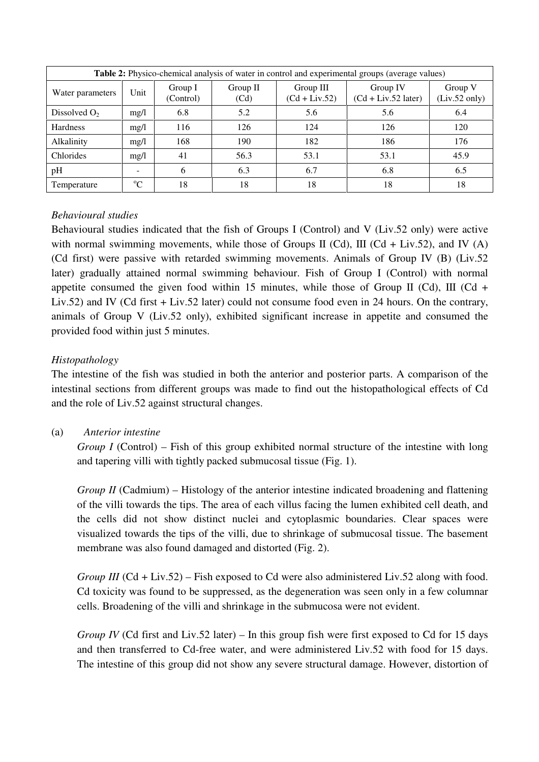| <b>Table 2:</b> Physico-chemical analysis of water in control and experimental groups (average values) |          |                      |                  |                              |                                   |                                    |  |  |
|--------------------------------------------------------------------------------------------------------|----------|----------------------|------------------|------------------------------|-----------------------------------|------------------------------------|--|--|
| Water parameters                                                                                       | Unit     | Group I<br>(Control) | Group II<br>(Cd) | Group III<br>$(Cd + Liv.52)$ | Group IV<br>$(Cd + Liv.52$ later) | Group V<br>$(Liv.52 \text{ only})$ |  |  |
| Dissolved $O2$                                                                                         | mg/l     | 6.8                  | 5.2              | 5.6                          | 5.6                               | 6.4                                |  |  |
| Hardness                                                                                               | mg/l     | 116                  | 126              | 124                          | 126                               | 120                                |  |  |
| Alkalinity                                                                                             | mg/l     | 168                  | 190              | 182                          | 186                               | 176                                |  |  |
| Chlorides                                                                                              | mg/l     | 41                   | 56.3             | 53.1                         | 53.1                              | 45.9                               |  |  |
| pH                                                                                                     |          | 6                    | 6.3              | 6.7                          | 6.8                               | 6.5                                |  |  |
| Temperature                                                                                            | $\Omega$ | 18                   | 18               | 18                           | 18                                | 18                                 |  |  |

## *Behavioural studies*

Behavioural studies indicated that the fish of Groups I (Control) and V (Liv.52 only) were active with normal swimming movements, while those of Groups II (Cd), III (Cd + Liv.52), and IV (A) (Cd first) were passive with retarded swimming movements. Animals of Group IV (B) (Liv.52 later) gradually attained normal swimming behaviour. Fish of Group I (Control) with normal appetite consumed the given food within 15 minutes, while those of Group II (Cd), III (Cd + Liv.52) and IV (Cd first + Liv.52 later) could not consume food even in 24 hours. On the contrary, animals of Group V (Liv.52 only), exhibited significant increase in appetite and consumed the provided food within just 5 minutes.

## *Histopathology*

The intestine of the fish was studied in both the anterior and posterior parts. A comparison of the intestinal sections from different groups was made to find out the histopathological effects of Cd and the role of Liv.52 against structural changes.

(a) *Anterior intestine*

*Group I* (Control) – Fish of this group exhibited normal structure of the intestine with long and tapering villi with tightly packed submucosal tissue (Fig. 1).

*Group II* (Cadmium) – Histology of the anterior intestine indicated broadening and flattening of the villi towards the tips. The area of each villus facing the lumen exhibited cell death, and the cells did not show distinct nuclei and cytoplasmic boundaries. Clear spaces were visualized towards the tips of the villi, due to shrinkage of submucosal tissue. The basement membrane was also found damaged and distorted (Fig. 2).

*Group III* (Cd + Liv.52) – Fish exposed to Cd were also administered Liv.52 along with food. Cd toxicity was found to be suppressed, as the degeneration was seen only in a few columnar cells. Broadening of the villi and shrinkage in the submucosa were not evident.

*Group IV* (Cd first and Liv.52 later) – In this group fish were first exposed to Cd for 15 days and then transferred to Cd-free water, and were administered Liv.52 with food for 15 days. The intestine of this group did not show any severe structural damage. However, distortion of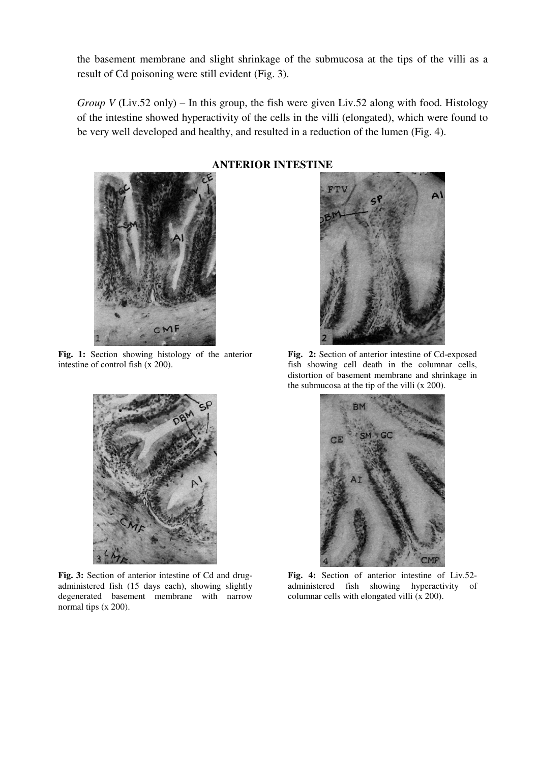the basement membrane and slight shrinkage of the submucosa at the tips of the villi as a result of Cd poisoning were still evident (Fig. 3).

*Group V* (Liv.52 only) – In this group, the fish were given Liv.52 along with food. Histology of the intestine showed hyperactivity of the cells in the villi (elongated), which were found to be very well developed and healthy, and resulted in a reduction of the lumen (Fig. 4).



**Fig. 1:** Section showing histology of the anterior intestine of control fish (x 200).



**Fig. 3:** Section of anterior intestine of Cd and drugadministered fish (15 days each), showing slightly degenerated basement membrane with narrow normal tips (x 200).

## **ANTERIOR INTESTINE**



**Fig. 2:** Section of anterior intestine of Cd-exposed fish showing cell death in the columnar cells, distortion of basement membrane and shrinkage in the submucosa at the tip of the villi (x 200).



**Fig. 4:** Section of anterior intestine of Liv.52 administered fish showing hyperactivity of columnar cells with elongated villi (x 200).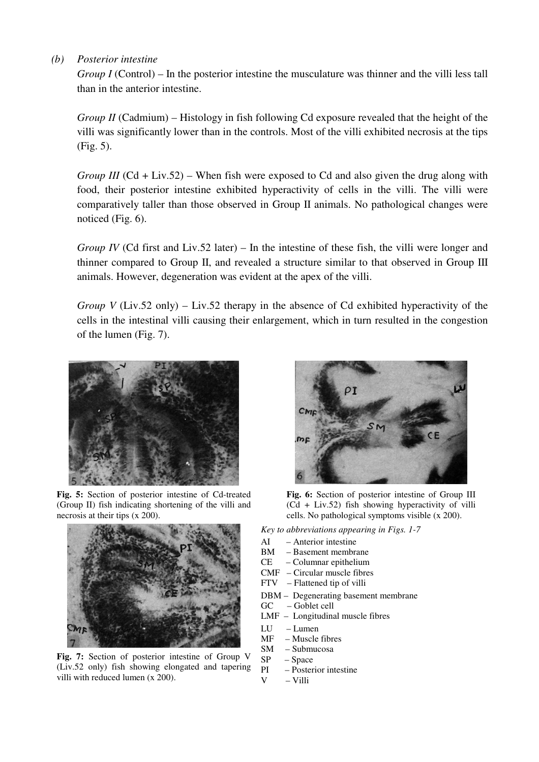#### *(b) Posterior intestine*

*Group I* (Control) – In the posterior intestine the musculature was thinner and the villi less tall than in the anterior intestine.

*Group II* (Cadmium) – Histology in fish following Cd exposure revealed that the height of the villi was significantly lower than in the controls. Most of the villi exhibited necrosis at the tips (Fig. 5).

*Group III* (Cd + Liv.52) – When fish were exposed to Cd and also given the drug along with food, their posterior intestine exhibited hyperactivity of cells in the villi. The villi were comparatively taller than those observed in Group II animals. No pathological changes were noticed (Fig. 6).

*Group IV* (Cd first and Liv.52 later) – In the intestine of these fish, the villi were longer and thinner compared to Group II, and revealed a structure similar to that observed in Group III animals. However, degeneration was evident at the apex of the villi.

*Group V* (Liv.52 only) – Liv.52 therapy in the absence of Cd exhibited hyperactivity of the cells in the intestinal villi causing their enlargement, which in turn resulted in the congestion of the lumen (Fig. 7).



**Fig. 5:** Section of posterior intestine of Cd-treated (Group II) fish indicating shortening of the villi and necrosis at their tips (x 200).



**Fig. 7:** Section of posterior intestine of Group V (Liv.52 only) fish showing elongated and tapering villi with reduced lumen (x 200).



**Fig. 6:** Section of posterior intestine of Group III (Cd + Liv.52) fish showing hyperactivity of villi cells. No pathological symptoms visible (x 200).

*Key to abbreviations appearing in Figs. 1-7*

- AI Anterior intestine
	-
- BM Basement membrane<br>CE Columnar epithelium – Columnar epithelium
- CMF Circular muscle fibres
- FTV Flattened tip of villi
- DBM Degenerating basement membrane
- GC Goblet cell
- LMF Longitudinal muscle fibres
- LU Lumen
- MF Muscle fibres
- SM Submucosa
- SP Space
- $PI$  Posterior intestine<br>V Villi
	- $-$  Villi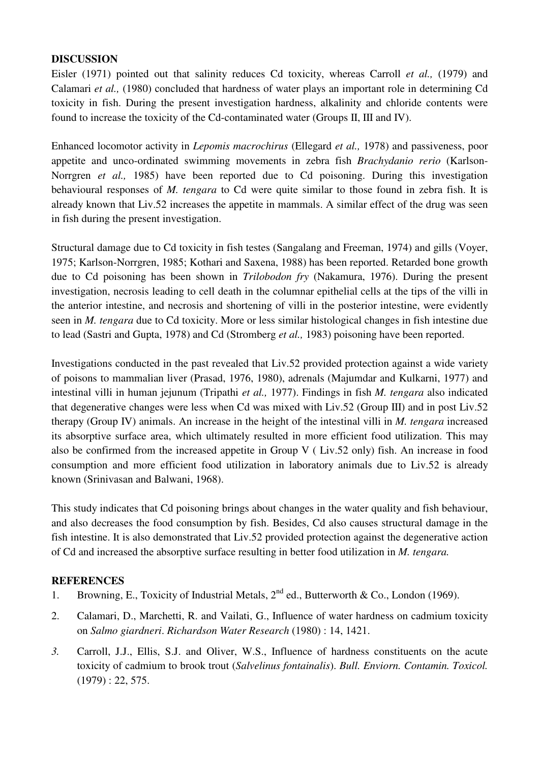### **DISCUSSION**

Eisler (1971) pointed out that salinity reduces Cd toxicity, whereas Carroll *et al.,* (1979) and Calamari *et al.,* (1980) concluded that hardness of water plays an important role in determining Cd toxicity in fish. During the present investigation hardness, alkalinity and chloride contents were found to increase the toxicity of the Cd-contaminated water (Groups II, III and IV).

Enhanced locomotor activity in *Lepomis macrochirus* (Ellegard *et al.,* 1978) and passiveness, poor appetite and unco-ordinated swimming movements in zebra fish *Brachydanio rerio* (Karlson-Norrgren *et al.,* 1985) have been reported due to Cd poisoning. During this investigation behavioural responses of *M. tengara* to Cd were quite similar to those found in zebra fish. It is already known that Liv.52 increases the appetite in mammals. A similar effect of the drug was seen in fish during the present investigation.

Structural damage due to Cd toxicity in fish testes (Sangalang and Freeman, 1974) and gills (Voyer, 1975; Karlson-Norrgren, 1985; Kothari and Saxena, 1988) has been reported. Retarded bone growth due to Cd poisoning has been shown in *Trilobodon fry* (Nakamura, 1976). During the present investigation, necrosis leading to cell death in the columnar epithelial cells at the tips of the villi in the anterior intestine, and necrosis and shortening of villi in the posterior intestine, were evidently seen in *M. tengara* due to Cd toxicity. More or less similar histological changes in fish intestine due to lead (Sastri and Gupta, 1978) and Cd (Stromberg *et al.,* 1983) poisoning have been reported.

Investigations conducted in the past revealed that Liv.52 provided protection against a wide variety of poisons to mammalian liver (Prasad, 1976, 1980), adrenals (Majumdar and Kulkarni, 1977) and intestinal villi in human jejunum (Tripathi *et al.,* 1977). Findings in fish *M. tengara* also indicated that degenerative changes were less when Cd was mixed with Liv.52 (Group III) and in post Liv.52 therapy (Group IV) animals. An increase in the height of the intestinal villi in *M. tengara* increased its absorptive surface area, which ultimately resulted in more efficient food utilization. This may also be confirmed from the increased appetite in Group V ( Liv.52 only) fish. An increase in food consumption and more efficient food utilization in laboratory animals due to Liv.52 is already known (Srinivasan and Balwani, 1968).

This study indicates that Cd poisoning brings about changes in the water quality and fish behaviour, and also decreases the food consumption by fish. Besides, Cd also causes structural damage in the fish intestine. It is also demonstrated that Liv.52 provided protection against the degenerative action of Cd and increased the absorptive surface resulting in better food utilization in *M. tengara.*

## **REFERENCES**

- 1. Browning, E., Toxicity of Industrial Metals,  $2^{nd}$  ed., Butterworth & Co., London (1969).
- 2. Calamari, D., Marchetti, R. and Vailati, G., Influence of water hardness on cadmium toxicity on *Salmo giardneri*. *Richardson Water Research* (1980) : 14, 1421.
- *3.* Carroll, J.J., Ellis, S.J. and Oliver, W.S., Influence of hardness constituents on the acute toxicity of cadmium to brook trout (*Salvelinus fontainalis*). *Bull. Enviorn. Contamin. Toxicol.*  $(1979): 22, 575.$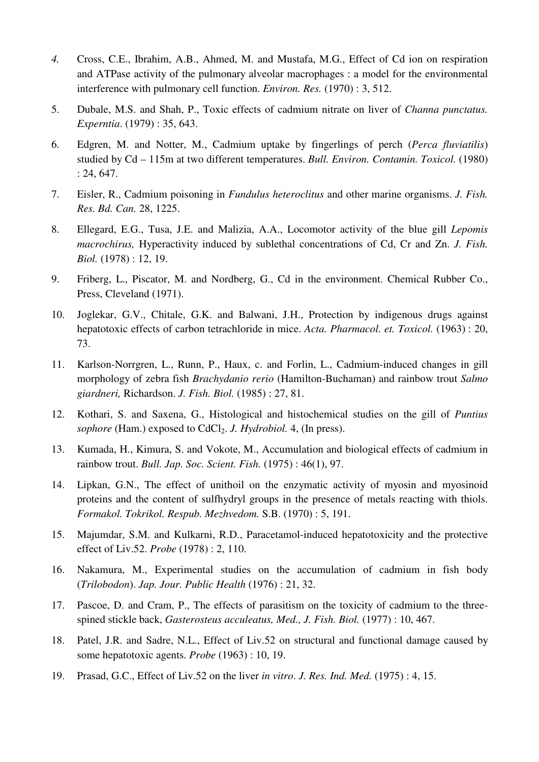- *4.* Cross, C.E., Ibrahim, A.B., Ahmed, M. and Mustafa, M.G., Effect of Cd ion on respiration and ATPase activity of the pulmonary alveolar macrophages : a model for the environmental interference with pulmonary cell function. *Environ. Res.* (1970) : 3, 512.
- 5. Dubale, M.S. and Shah, P., Toxic effects of cadmium nitrate on liver of *Channa punctatus. Experntia*. (1979) : 35, 643.
- 6. Edgren, M. and Notter, M., Cadmium uptake by fingerlings of perch (*Perca fluviatilis*) studied by Cd – 115m at two different temperatures. *Bull. Environ. Contamin. Toxicol.* (1980) : 24, 647.
- 7. Eisler, R., Cadmium poisoning in *Fundulus heteroclitus* and other marine organisms. *J. Fish. Res. Bd. Can.* 28, 1225.
- 8. Ellegard, E.G., Tusa, J.E. and Malizia, A.A., Locomotor activity of the blue gill *Lepomis macrochirus,* Hyperactivity induced by sublethal concentrations of Cd, Cr and Zn. *J. Fish. Biol.* (1978) : 12, 19.
- 9. Friberg, L., Piscator, M. and Nordberg, G., Cd in the environment. Chemical Rubber Co., Press, Cleveland (1971).
- 10. Joglekar, G.V., Chitale, G.K. and Balwani, J.H., Protection by indigenous drugs against hepatotoxic effects of carbon tetrachloride in mice. *Acta. Pharmacol. et. Toxicol.* (1963) : 20, 73.
- 11. Karlson-Norrgren, L., Runn, P., Haux, c. and Forlin, L., Cadmium-induced changes in gill morphology of zebra fish *Brachydanio rerio* (Hamilton-Buchaman) and rainbow trout *Salmo giardneri,* Richardson. *J. Fish. Biol.* (1985) : 27, 81.
- 12. Kothari, S. and Saxena, G., Histological and histochemical studies on the gill of *Puntius sophore* (Ham.) exposed to CdCl<sub>2</sub>. *J. Hydrobiol.* 4, (In press).
- 13. Kumada, H., Kimura, S. and Vokote, M., Accumulation and biological effects of cadmium in rainbow trout. *Bull. Jap. Soc. Scient. Fish.* (1975) : 46(1), 97.
- 14. Lipkan, G.N., The effect of unithoil on the enzymatic activity of myosin and myosinoid proteins and the content of sulfhydryl groups in the presence of metals reacting with thiols. *Formakol. Tokrikol. Respub. Mezhvedom.* S.B. (1970) : 5, 191.
- 15. Majumdar, S.M. and Kulkarni, R.D., Paracetamol-induced hepatotoxicity and the protective effect of Liv.52. *Probe* (1978) : 2, 110.
- 16. Nakamura, M., Experimental studies on the accumulation of cadmium in fish body (*Trilobodon*). *Jap. Jour. Public Health* (1976) : 21, 32.
- 17. Pascoe, D. and Cram, P., The effects of parasitism on the toxicity of cadmium to the threespined stickle back, *Gasterosteus acculeatus, Med., J. Fish. Biol.* (1977) : 10, 467.
- 18. Patel, J.R. and Sadre, N.L., Effect of Liv.52 on structural and functional damage caused by some hepatotoxic agents. *Probe* (1963) : 10, 19.
- 19. Prasad, G.C., Effect of Liv.52 on the liver *in vitro*. *J. Res. Ind. Med.* (1975) : 4, 15.